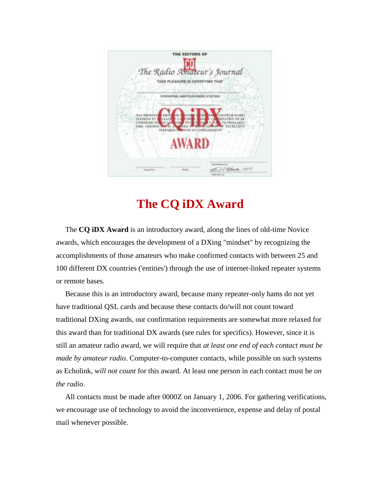

## **The CQ iDX Award**

 The **CQ iDX Award** is an introductory award, along the lines of old-time Novice awards, which encourages the development of a DXing "mindset" by recognizing the accomplishments of those amateurs who make confirmed contacts with between 25 and 100 different DX countries ('entities') through the use of internet-linked repeater systems or remote bases.

 Because this is an introductory award, because many repeater-only hams do not yet have traditional QSL cards and because these contacts do/will not count toward traditional DXing awards, our confirmation requirements are somewhat more relaxed for this award than for traditional DX awards (see rules for specifics). However, since it is still an amateur radio award, we will require that *at least one end of each contact must be made by amateur radio*. Computer-to-computer contacts, while possible on such systems as Echolink, *will not count* for this award. At least one person in each contact must be *on the radio*.

All contacts must be made after 0000Z on January 1, 2006. For gathering verifications, we encourage use of technology to avoid the inconvenience, expense and delay of postal mail whenever possible.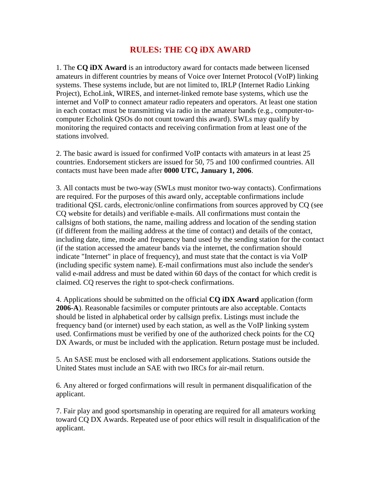## **RULES: THE CQ iDX AWARD**

1. The **CQ iDX Award** is an introductory award for contacts made between licensed amateurs in different countries by means of Voice over Internet Protocol (VoIP) linking systems. These systems include, but are not limited to, IRLP (Internet Radio Linking Project), EchoLink, WIRES, and internet-linked remote base systems, which use the internet and VoIP to connect amateur radio repeaters and operators. At least one station in each contact must be transmitting via radio in the amateur bands (e.g., computer-tocomputer Echolink QSOs do not count toward this award). SWLs may qualify by monitoring the required contacts and receiving confirmation from at least one of the stations involved.

2. The basic award is issued for confirmed VoIP contacts with amateurs in at least 25 countries. Endorsement stickers are issued for 50, 75 and 100 confirmed countries. All contacts must have been made after **0000 UTC, January 1, 2006**.

3. All contacts must be two-way (SWLs must monitor two-way contacts). Confirmations are required. For the purposes of this award only, acceptable confirmations include traditional QSL cards, electronic/online confirmations from sources approved by CQ (see CQ website for details) and verifiable e-mails. All confirmations must contain the callsigns of both stations, the name, mailing address and location of the sending station (if different from the mailing address at the time of contact) and details of the contact, including date, time, mode and frequency band used by the sending station for the contact (if the station accessed the amateur bands via the internet, the confirmation should indicate "Internet" in place of frequency), and must state that the contact is via VoIP (including specific system name). E-mail confirmations must also include the sender's valid e-mail address and must be dated within 60 days of the contact for which credit is claimed. CQ reserves the right to spot-check confirmations.

4. Applications should be submitted on the official **CQ iDX Award** application (form **2006-A**). Reasonable facsimiles or computer printouts are also acceptable. Contacts should be listed in alphabetical order by callsign prefix. Listings must include the frequency band (or internet) used by each station, as well as the VoIP linking system used. Confirmations must be verified by one of the authorized check points for the CQ DX Awards, or must be included with the application. Return postage must be included.

5. An SASE must be enclosed with all endorsement applications. Stations outside the United States must include an SAE with two IRCs for air-mail return.

6. Any altered or forged confirmations will result in permanent disqualification of the applicant.

7. Fair play and good sportsmanship in operating are required for all amateurs working toward CQ DX Awards. Repeated use of poor ethics will result in disqualification of the applicant.